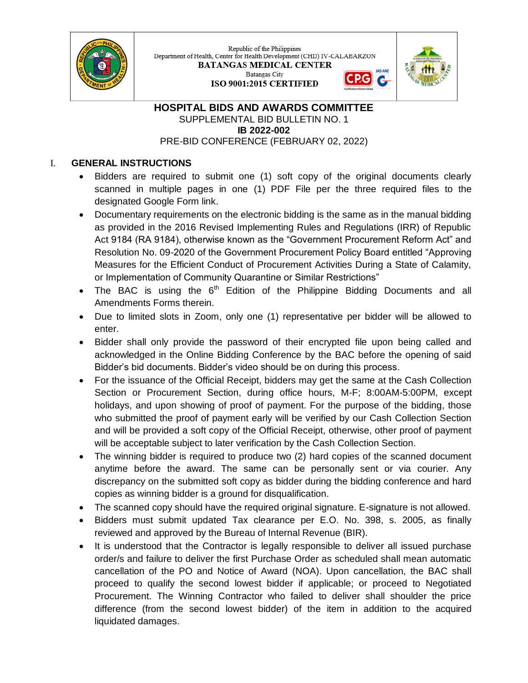

Republic of the Philippines Department of Health, Center for Health Development (CHD) IV-CALABARZON **BATANGAS MEDICAL CENTER** Batangas City ISO 9001:2015 CERTIFIED



G

## **HOSPITAL BIDS AND AWARDS COMMITTEE** SUPPLEMENTAL BID BULLETIN NO. 1 **IB 2022-002** PRE-BID CONFERENCE (FEBRUARY 02, 2022)

## I. **GENERAL INSTRUCTIONS**

- Bidders are required to submit one (1) soft copy of the original documents clearly scanned in multiple pages in one (1) PDF File per the three required files to the designated Google Form link.
- Documentary requirements on the electronic bidding is the same as in the manual bidding as provided in the 2016 Revised Implementing Rules and Regulations (IRR) of Republic Act 9184 (RA 9184), otherwise known as the "Government Procurement Reform Act" and Resolution No. 09-2020 of the Government Procurement Policy Board entitled "Approving Measures for the Efficient Conduct of Procurement Activities During a State of Calamity, or Implementation of Community Quarantine or Similar Restrictions"
- The BAC is using the  $6<sup>th</sup>$  Edition of the Philippine Bidding Documents and all Amendments Forms therein.
- Due to limited slots in Zoom, only one (1) representative per bidder will be allowed to enter.
- Bidder shall only provide the password of their encrypted file upon being called and acknowledged in the Online Bidding Conference by the BAC before the opening of said Bidder's bid documents. Bidder's video should be on during this process.
- For the issuance of the Official Receipt, bidders may get the same at the Cash Collection Section or Procurement Section, during office hours, M-F; 8:00AM-5:00PM, except holidays, and upon showing of proof of payment. For the purpose of the bidding, those who submitted the proof of payment early will be verified by our Cash Collection Section and will be provided a soft copy of the Official Receipt, otherwise, other proof of payment will be acceptable subject to later verification by the Cash Collection Section.
- The winning bidder is required to produce two (2) hard copies of the scanned document anytime before the award. The same can be personally sent or via courier. Any discrepancy on the submitted soft copy as bidder during the bidding conference and hard copies as winning bidder is a ground for disqualification.
- The scanned copy should have the required original signature. E-signature is not allowed.
- Bidders must submit updated Tax clearance per E.O. No. 398, s. 2005, as finally reviewed and approved by the Bureau of Internal Revenue (BIR).
- It is understood that the Contractor is legally responsible to deliver all issued purchase order/s and failure to deliver the first Purchase Order as scheduled shall mean automatic cancellation of the PO and Notice of Award (NOA). Upon cancellation, the BAC shall proceed to qualify the second lowest bidder if applicable; or proceed to Negotiated Procurement. The Winning Contractor who failed to deliver shall shoulder the price difference (from the second lowest bidder) of the item in addition to the acquired liquidated damages.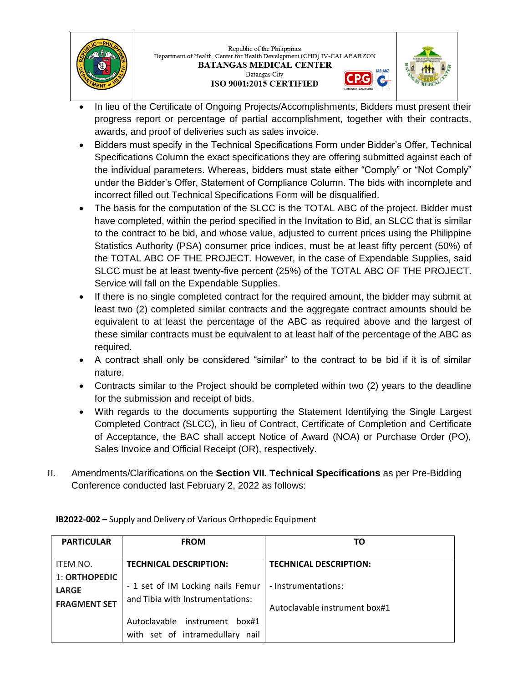

Republic of the Philippines Department of Health, Center for Health Development (CHD) IV-CALABARZON **BATANGAS MEDICAL CENTER** Batangas City ISO 9001:2015 CERTIFIED



G

- In lieu of the Certificate of Ongoing Projects/Accomplishments, Bidders must present their progress report or percentage of partial accomplishment, together with their contracts, awards, and proof of deliveries such as sales invoice.
- Bidders must specify in the Technical Specifications Form under Bidder's Offer, Technical Specifications Column the exact specifications they are offering submitted against each of the individual parameters. Whereas, bidders must state either "Comply" or "Not Comply" under the Bidder's Offer, Statement of Compliance Column. The bids with incomplete and incorrect filled out Technical Specifications Form will be disqualified.
- The basis for the computation of the SLCC is the TOTAL ABC of the project. Bidder must have completed, within the period specified in the Invitation to Bid, an SLCC that is similar to the contract to be bid, and whose value, adjusted to current prices using the Philippine Statistics Authority (PSA) consumer price indices, must be at least fifty percent (50%) of the TOTAL ABC OF THE PROJECT. However, in the case of Expendable Supplies, said SLCC must be at least twenty-five percent (25%) of the TOTAL ABC OF THE PROJECT. Service will fall on the Expendable Supplies.
- If there is no single completed contract for the required amount, the bidder may submit at least two (2) completed similar contracts and the aggregate contract amounts should be equivalent to at least the percentage of the ABC as required above and the largest of these similar contracts must be equivalent to at least half of the percentage of the ABC as required.
- A contract shall only be considered "similar" to the contract to be bid if it is of similar nature.
- Contracts similar to the Project should be completed within two (2) years to the deadline for the submission and receipt of bids.
- With regards to the documents supporting the Statement Identifying the Single Largest Completed Contract (SLCC), in lieu of Contract, Certificate of Completion and Certificate of Acceptance, the BAC shall accept Notice of Award (NOA) or Purchase Order (PO), Sales Invoice and Official Receipt (OR), respectively.
- II. Amendments/Clarifications on the **Section VII. Technical Specifications** as per Pre-Bidding Conference conducted last February 2, 2022 as follows:

| <b>PARTICULAR</b>                                    | <b>FROM</b>                                                            | ТO                                                   |
|------------------------------------------------------|------------------------------------------------------------------------|------------------------------------------------------|
| <b>ITEM NO.</b>                                      | <b>TECHNICAL DESCRIPTION:</b>                                          | <b>TECHNICAL DESCRIPTION:</b>                        |
| 1: ORTHOPEDIC<br><b>LARGE</b><br><b>FRAGMENT SET</b> | - 1 set of IM Locking nails Femur<br>and Tibia with Instrumentations:  | - Instrumentations:<br>Autoclavable instrument box#1 |
|                                                      | Autoclavable instrument<br>box#1<br>with set of intramedullary<br>nail |                                                      |

**IB2022-002 –** Supply and Delivery of Various Orthopedic Equipment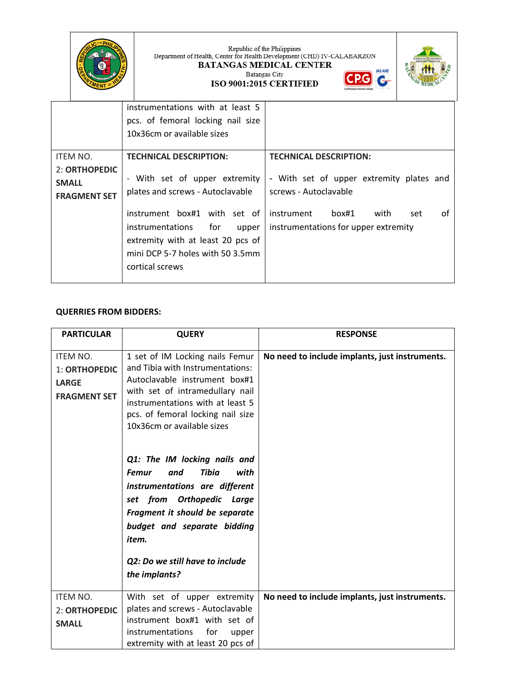

Republic of the Philippines<br>Department of Health, Center for Health Development (CHD) IV-CALABARZON<br>BATANGAS MEDICAL CENTER<br>Batangas City

ISO 9001:2015 CERTIFIED

**JAS-ANZ** CPG C



|                                                      | instrumentations with at least 5<br>pcs. of femoral locking nail size<br>10x36cm or available sizes                                                          |                                                                                  |
|------------------------------------------------------|--------------------------------------------------------------------------------------------------------------------------------------------------------------|----------------------------------------------------------------------------------|
| <b>ITEM NO.</b>                                      | <b>TECHNICAL DESCRIPTION:</b>                                                                                                                                | <b>TECHNICAL DESCRIPTION:</b>                                                    |
| 2: ORTHOPEDIC<br><b>SMALL</b><br><b>FRAGMENT SET</b> | - With set of upper extremity<br>plates and screws - Autoclavable                                                                                            | - With set of upper extremity plates and<br>screws - Autoclavable                |
|                                                      | instrument box#1 with set of<br>instrumentations<br>for<br>upper<br>extremity with at least 20 pcs of<br>mini DCP 5-7 holes with 50 3.5mm<br>cortical screws | Ωf<br>instrument<br>box#1<br>with<br>set<br>instrumentations for upper extremity |

## **QUERRIES FROM BIDDERS:**

| <b>PARTICULAR</b>                                                       | <b>QUERY</b>                                                                                                                                                                                                                                                                | <b>RESPONSE</b>                                |
|-------------------------------------------------------------------------|-----------------------------------------------------------------------------------------------------------------------------------------------------------------------------------------------------------------------------------------------------------------------------|------------------------------------------------|
| <b>ITEM NO.</b><br>1: ORTHOPEDIC<br><b>LARGE</b><br><b>FRAGMENT SET</b> | 1 set of IM Locking nails Femur<br>and Tibia with Instrumentations:<br>Autoclavable instrument box#1<br>with set of intramedullary nail<br>instrumentations with at least 5<br>pcs. of femoral locking nail size<br>10x36cm or available sizes                              | No need to include implants, just instruments. |
|                                                                         | Q1: The IM locking nails and<br>Tibia<br>with<br><b>Femur</b><br>and<br>instrumentations are different<br><b>Orthopedic Large</b><br>set from<br>Fragment it should be separate<br>budget and separate bidding<br>item.<br>Q2: Do we still have to include<br>the implants? |                                                |
| <b>ITEM NO.</b>                                                         | With set of upper extremity                                                                                                                                                                                                                                                 | No need to include implants, just instruments. |
| 2: ORTHOPEDIC<br><b>SMALL</b>                                           | plates and screws - Autoclavable<br>instrument box#1 with set of<br>instrumentations<br>for<br>upper<br>extremity with at least 20 pcs of                                                                                                                                   |                                                |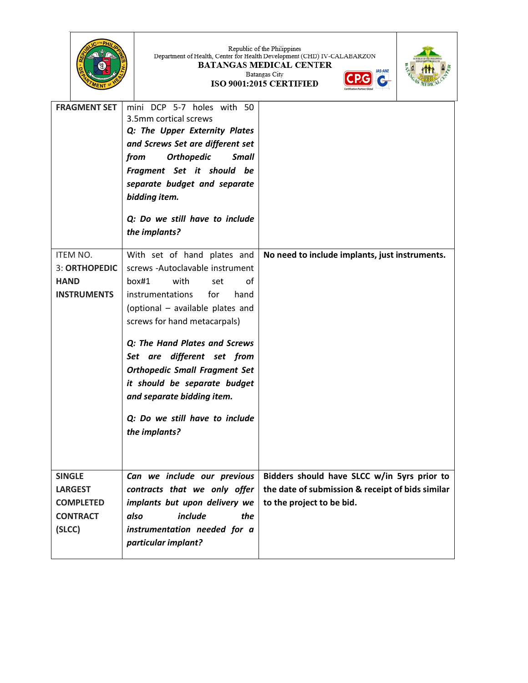|                                                                                  |                                                                                                                                                                                                                                                                                                                                                                                                                             | Republic of the Philippines<br>Department of Health, Center for Health Development (CHD) IV-CALABARZON<br><b>BATANGAS MEDICAL CENTER</b><br><b>JAS-ANZ</b><br>Batangas City<br>ISO 9001:2015 CERTIFIED |  |
|----------------------------------------------------------------------------------|-----------------------------------------------------------------------------------------------------------------------------------------------------------------------------------------------------------------------------------------------------------------------------------------------------------------------------------------------------------------------------------------------------------------------------|--------------------------------------------------------------------------------------------------------------------------------------------------------------------------------------------------------|--|
| <b>FRAGMENT SET</b>                                                              | mini DCP 5-7 holes with 50<br>3.5mm cortical screws<br>Q: The Upper Externity Plates<br>and Screws Set are different set<br><b>Orthopedic</b><br><b>Small</b><br>from<br>Fragment Set it should be<br>separate budget and separate<br>bidding item.<br>Q: Do we still have to include<br>the implants?                                                                                                                      |                                                                                                                                                                                                        |  |
| <b>ITEM NO.</b><br><b>3: ORTHOPEDIC</b><br><b>HAND</b><br><b>INSTRUMENTS</b>     | With set of hand plates and<br>screws -Autoclavable instrument<br>box#1<br>with<br>οf<br>set<br>instrumentations<br>for<br>hand<br>(optional - available plates and<br>screws for hand metacarpals)<br>Q: The Hand Plates and Screws<br>Set are different set from<br><b>Orthopedic Small Fragment Set</b><br>it should be separate budget<br>and separate bidding item.<br>Q: Do we still have to include<br>the implants? | No need to include implants, just instruments.                                                                                                                                                         |  |
| <b>SINGLE</b><br><b>LARGEST</b><br><b>COMPLETED</b><br><b>CONTRACT</b><br>(SLCC) | Can we include our previous<br>contracts that we only offer<br>implants but upon delivery we<br><i>include</i><br>also<br>the<br>instrumentation needed for a<br>particular implant?                                                                                                                                                                                                                                        | Bidders should have SLCC w/in 5yrs prior to<br>the date of submission & receipt of bids similar<br>to the project to be bid.                                                                           |  |